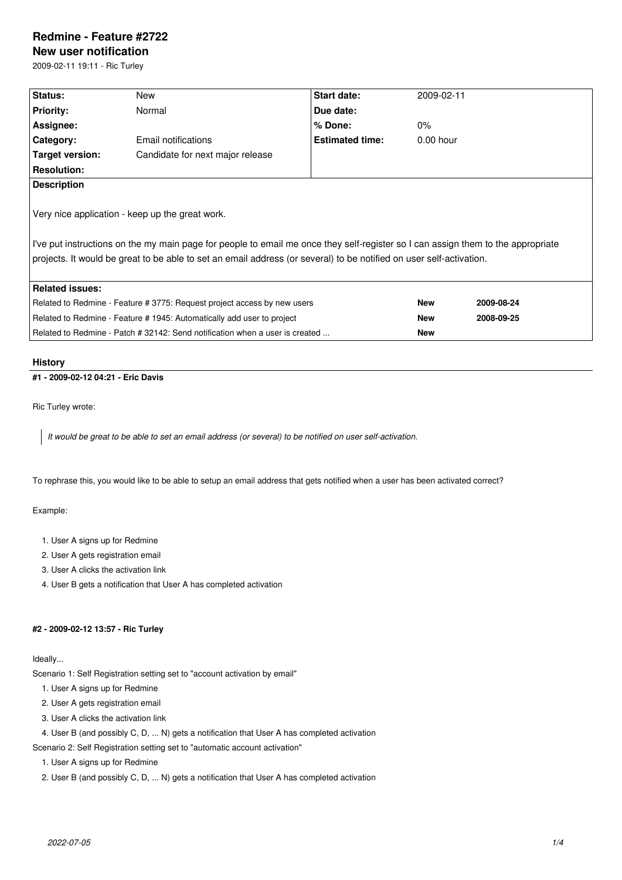# **Redmine - Feature #2722**

# **New user notification**

2009-02-11 19:11 - Ric Turley

| Status:                                                                                                                                                                                                                                                                                                    | New                              | Start date:            | 2009-02-11  |            |  |  |
|------------------------------------------------------------------------------------------------------------------------------------------------------------------------------------------------------------------------------------------------------------------------------------------------------------|----------------------------------|------------------------|-------------|------------|--|--|
| <b>Priority:</b>                                                                                                                                                                                                                                                                                           | Normal                           | Due date:              |             |            |  |  |
| Assignee:                                                                                                                                                                                                                                                                                                  |                                  | $%$ Done:              | $0\%$       |            |  |  |
| Category:                                                                                                                                                                                                                                                                                                  | Email notifications              | <b>Estimated time:</b> | $0.00$ hour |            |  |  |
| Target version:                                                                                                                                                                                                                                                                                            | Candidate for next major release |                        |             |            |  |  |
| <b>Resolution:</b>                                                                                                                                                                                                                                                                                         |                                  |                        |             |            |  |  |
| <b>Description</b>                                                                                                                                                                                                                                                                                         |                                  |                        |             |            |  |  |
| Very nice application - keep up the great work.<br>I've put instructions on the my main page for people to email me once they self-register so I can assign them to the appropriate<br>projects. It would be great to be able to set an email address (or several) to be notified on user self-activation. |                                  |                        |             |            |  |  |
|                                                                                                                                                                                                                                                                                                            |                                  |                        |             |            |  |  |
| <b>Related issues:</b>                                                                                                                                                                                                                                                                                     |                                  |                        |             |            |  |  |
| Related to Redmine - Feature # 3775: Request project access by new users                                                                                                                                                                                                                                   |                                  |                        | <b>New</b>  | 2009-08-24 |  |  |
| Related to Redmine - Feature # 1945: Automatically add user to project                                                                                                                                                                                                                                     |                                  |                        | <b>New</b>  | 2008-09-25 |  |  |
| Related to Redmine - Patch # 32142: Send notification when a user is created                                                                                                                                                                                                                               |                                  |                        | <b>New</b>  |            |  |  |
|                                                                                                                                                                                                                                                                                                            |                                  |                        |             |            |  |  |

# **History**

# **#1 - 2009-02-12 04:21 - Eric Davis**

Ric Turley wrote:

*It would be great to be able to set an email address (or several) to be notified on user self-activation.*

To rephrase this, you would like to be able to setup an email address that gets notified when a user has been activated correct?

### Example:

- 1. User A signs up for Redmine
- 2. User A gets registration email
- 3. User A clicks the activation link
- 4. User B gets a notification that User A has completed activation

# **#2 - 2009-02-12 13:57 - Ric Turley**

Ideally...

Scenario 1: Self Registration setting set to "account activation by email"

- 1. User A signs up for Redmine
- 2. User A gets registration email
- 3. User A clicks the activation link

4. User B (and possibly C, D, ... N) gets a notification that User A has completed activation

Scenario 2: Self Registration setting set to "automatic account activation"

1. User A signs up for Redmine

2. User B (and possibly C, D, ... N) gets a notification that User A has completed activation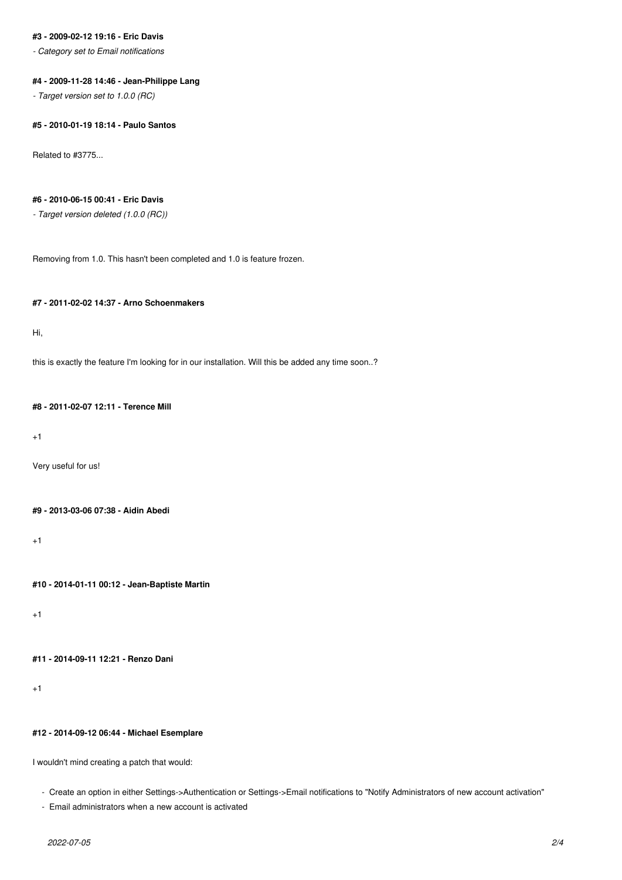# **#3 - 2009-02-12 19:16 - Eric Davis**

*- Category set to Email notifications*

# **#4 - 2009-11-28 14:46 - Jean-Philippe Lang**

*- Target version set to 1.0.0 (RC)*

#### **#5 - 2010-01-19 18:14 - Paulo Santos**

Related to #3775...

# **#6 - 2010-06-15 00:41 - Eric Davis**

*- Target version deleted (1.0.0 (RC))*

Removing from 1.0. This hasn't been completed and 1.0 is feature frozen.

# **#7 - 2011-02-02 14:37 - Arno Schoenmakers**

Hi,

this is exactly the feature I'm looking for in our installation. Will this be added any time soon..?

# **#8 - 2011-02-07 12:11 - Terence Mill**

+1

Very useful for us!

# **#9 - 2013-03-06 07:38 - Aidin Abedi**

 $+1$ 

**#10 - 2014-01-11 00:12 - Jean-Baptiste Martin**

+1

```
#11 - 2014-09-11 12:21 - Renzo Dani
```
+1

#### **#12 - 2014-09-12 06:44 - Michael Esemplare**

I wouldn't mind creating a patch that would:

- Create an option in either Settings->Authentication or Settings->Email notifications to "Notify Administrators of new account activation"

```
 - Email administrators when a new account is activated
```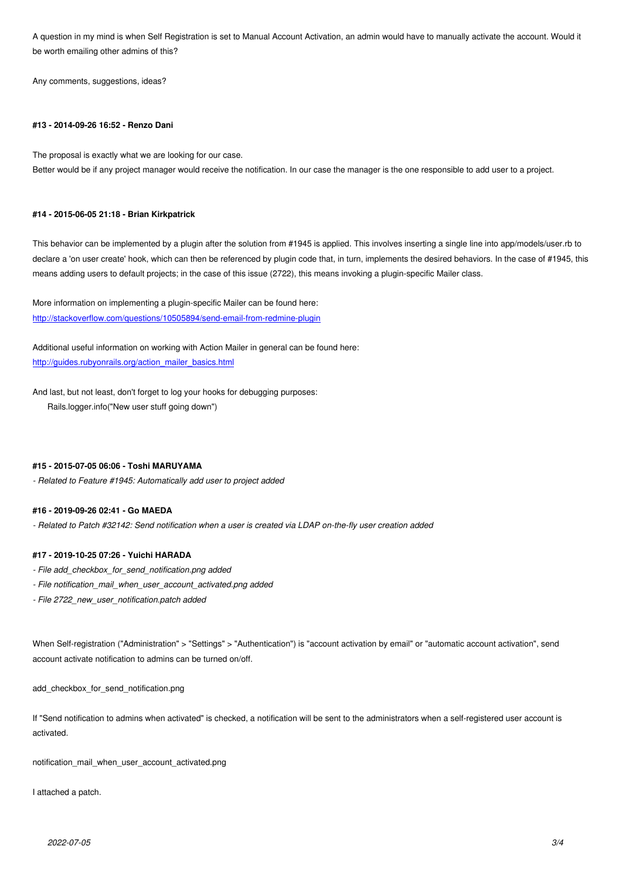be worth emailing other admins of this?

Any comments, suggestions, ideas?

# **#13 - 2014-09-26 16:52 - Renzo Dani**

The proposal is exactly what we are looking for our case.

Better would be if any project manager would receive the notification. In our case the manager is the one responsible to add user to a project.

#### **#14 - 2015-06-05 21:18 - Brian Kirkpatrick**

This behavior can be implemented by a plugin after the solution from #1945 is applied. This involves inserting a single line into app/models/user.rb to declare a 'on user create' hook, which can then be referenced by plugin code that, in turn, implements the desired behaviors. In the case of #1945, this means adding users to default projects; in the case of this issue (2722), this means invoking a plugin-specific Mailer class.

More information on implementing a plugin-specific Mailer can be found here: http://stackoverflow.com/questions/10505894/send-email-from-redmine-plugin

Additional useful information on working with Action Mailer in general can be found here: [http://guides.rubyonrails.org/action\\_mailer\\_basics.html](http://stackoverflow.com/questions/10505894/send-email-from-redmine-plugin)

And last, but not least, don't forget to log your hooks for debugging purposes: [Rails.logger.info\("New user stuff going down"\)](http://guides.rubyonrails.org/action_mailer_basics.html)

### **#15 - 2015-07-05 06:06 - Toshi MARUYAMA**

*- Related to Feature #1945: Automatically add user to project added*

#### **#16 - 2019-09-26 02:41 - Go MAEDA**

*- Related to Patch #32142: Send notification when a user is created via LDAP on-the-fly user creation added*

#### **#17 - 2019-10-25 07:26 - Yuichi HARADA**

- *File add\_checkbox\_for\_send\_notification.png added*
- *File notification\_mail\_when\_user\_account\_activated.png added*
- *File 2722\_new\_user\_notification.patch added*

When Self-registration ("Administration" > "Settings" > "Authentication") is "account activation by email" or "automatic account activation", send account activate notification to admins can be turned on/off.

add\_checkbox\_for\_send\_notification.png

If "Send notification to admins when activated" is checked, a notification will be sent to the administrators when a self-registered user account is activated.

notification\_mail\_when\_user\_account\_activated.png

I attached a patch.